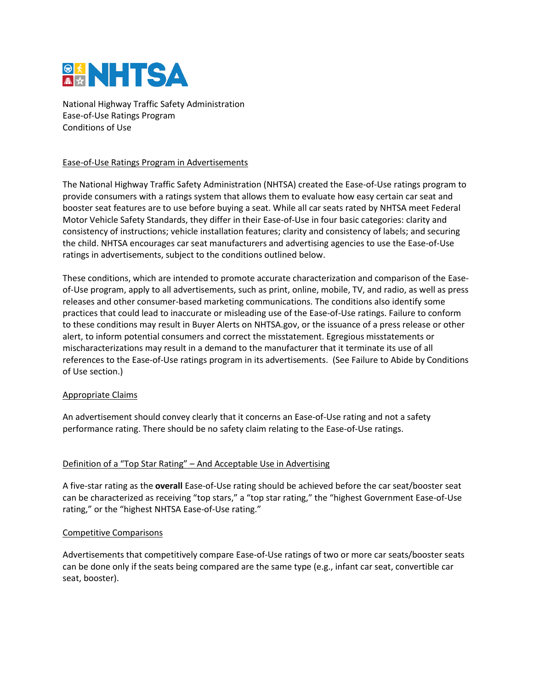

National Highway Traffic Safety Administration Ease-of-Use Ratings Program Conditions of Use

## Ease-of-Use Ratings Program in Advertisements

The National Highway Traffic Safety Administration (NHTSA) created the Ease-of-Use ratings program to provide consumers with a ratings system that allows them to evaluate how easy certain car seat and booster seat features are to use before buying a seat. While all car seats rated by NHTSA meet Federal Motor Vehicle Safety Standards, they differ in their Ease-of-Use in four basic categories: clarity and consistency of instructions; vehicle installation features; clarity and consistency of labels; and securing the child. NHTSA encourages car seat manufacturers and advertising agencies to use the Ease-of-Use ratings in advertisements, subject to the conditions outlined below.

These conditions, which are intended to promote accurate characterization and comparison of the Easeof-Use program, apply to all advertisements, such as print, online, mobile, TV, and radio, as well as press releases and other consumer-based marketing communications. The conditions also identify some practices that could lead to inaccurate or misleading use of the Ease-of-Use ratings. Failure to conform to these conditions may result in Buyer Alerts on NHTSA.gov, or the issuance of a press release or other alert, to inform potential consumers and correct the misstatement. Egregious misstatements or mischaracterizations may result in a demand to the manufacturer that it terminate its use of all references to the Ease-of-Use ratings program in its advertisements. (See Failure to Abide by Conditions of Use section.)

## Appropriate Claims

An advertisement should convey clearly that it concerns an Ease-of-Use rating and not a safety performance rating. There should be no safety claim relating to the Ease-of-Use ratings.

## Definition of a "Top Star Rating" – And Acceptable Use in Advertising

A five-star rating as the **overall** Ease-of-Use rating should be achieved before the car seat/booster seat can be characterized as receiving "top stars," a "top star rating," the "highest Government Ease-of-Use rating," or the "highest NHTSA Ease-of-Use rating."

#### Competitive Comparisons

Advertisements that competitively compare Ease-of-Use ratings of two or more car seats/booster seats can be done only if the seats being compared are the same type (e.g., infant car seat, convertible car seat, booster).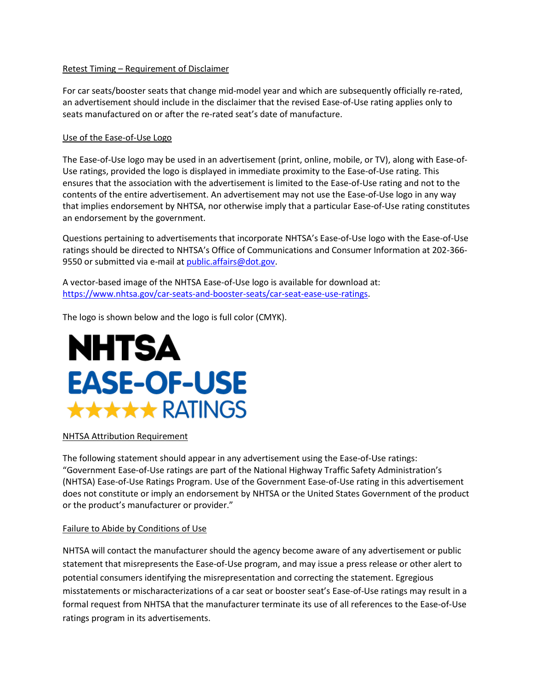## Retest Timing – Requirement of Disclaimer

For car seats/booster seats that change mid-model year and which are subsequently officially re-rated, an advertisement should include in the disclaimer that the revised Ease-of-Use rating applies only to seats manufactured on or after the re-rated seat's date of manufacture.

#### Use of the Ease-of-Use Logo

The Ease-of-Use logo may be used in an advertisement (print, online, mobile, or TV), along with Ease-of-Use ratings, provided the logo is displayed in immediate proximity to the Ease-of-Use rating. This ensures that the association with the advertisement is limited to the Ease-of-Use rating and not to the contents of the entire advertisement. An advertisement may not use the Ease-of-Use logo in any way that implies endorsement by NHTSA, nor otherwise imply that a particular Ease-of-Use rating constitutes an endorsement by the government.

Questions pertaining to advertisements that incorporate NHTSA's Ease-of-Use logo with the Ease-of-Use ratings should be directed to NHTSA's Office of Communications and Consumer Information at 202-366 9550 or submitted via e-mail at [public.affairs@dot.gov.](mailto:public.affairs@dot.gov)

A vector-based image of the NHTSA Ease-of-Use logo is available for download at: [https://www.nhtsa.gov/car-seats-and-booster-seats/car-seat-ease-use-ratings.](https://www.nhtsa.gov/car-seats-and-booster-seats/car-seat-ease-use-ratings)

The logo is shown below and the logo is full color (CMYK).

# **NHTSA EASE-OF-USE** \*\*\*\*\* RATINGS

#### NHTSA Attribution Requirement

The following statement should appear in any advertisement using the Ease-of-Use ratings: "Government Ease-of-Use ratings are part of the National Highway Traffic Safety Administration's (NHTSA) Ease-of-Use Ratings Program. Use of the Government Ease-of-Use rating in this advertisement does not constitute or imply an endorsement by NHTSA or the United States Government of the product or the product's manufacturer or provider."

## Failure to Abide by Conditions of Use

NHTSA will contact the manufacturer should the agency become aware of any advertisement or public statement that misrepresents the Ease-of-Use program, and may issue a press release or other alert to potential consumers identifying the misrepresentation and correcting the statement. Egregious misstatements or mischaracterizations of a car seat or booster seat's Ease-of-Use ratings may result in a formal request from NHTSA that the manufacturer terminate its use of all references to the Ease-of-Use ratings program in its advertisements.